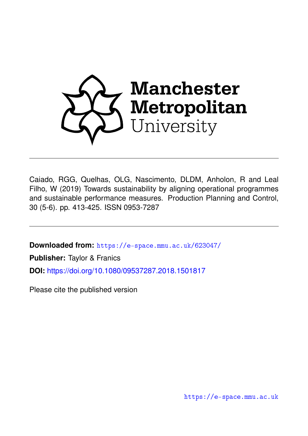

Caiado, RGG, Quelhas, OLG, Nascimento, DLDM, Anholon, R and Leal Filho, W (2019) Towards sustainability by aligning operational programmes and sustainable performance measures. Production Planning and Control, 30 (5-6). pp. 413-425. ISSN 0953-7287

**Downloaded from:** <https://e-space.mmu.ac.uk/623047/>

**Publisher:** Taylor & Franics

**DOI:** <https://doi.org/10.1080/09537287.2018.1501817>

Please cite the published version

<https://e-space.mmu.ac.uk>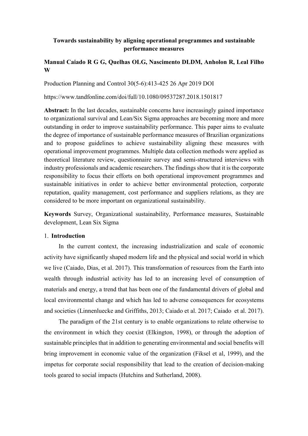# **Towards sustainability by aligning operational programmes and sustainable performance measures**

# **Manual Caiado R G G, Quelhas OLG, Nascimento DLDM, Anholon R, Leal Filho W**

Production Planning and Control 30(5-6):413-425 26 Apr 2019 DOI

https://www.tandfonline.com/doi/full/10.1080/09537287.2018.1501817

Abstract: In the last decades, sustainable concerns have increasingly gained importance to organizational survival and Lean/Six Sigma approaches are becoming more and more outstanding in order to improve sustainability performance. This paper aims to evaluate the degree of importance of sustainable performance measures of Brazilian organizations and to propose guidelines to achieve sustainability aligning these measures with operational improvement programmes. Multiple data collection methods were applied as theoretical literature review, questionnaire survey and semi-structured interviews with industry professionals and academic researchers. The findings show that it is the corporate responsibility to focus their efforts on both operational improvement programmes and sustainable initiatives in order to achieve better environmental protection, corporate reputation, quality management, cost performance and suppliers relations, as they are considered to be more important on organizational sustainability.

**Keywords** Survey, Organizational sustainability, Performance measures, Sustainable development, Lean Six Sigma

## 1. **Introduction**

In the current context, the increasing industrialization and scale of economic activity have significantly shaped modern life and the physical and social world in which we live (Caiado, Dias, et al. 2017). This transformation of resources from the Earth into wealth through industrial activity has led to an increasing level of consumption of materials and energy, a trend that has been one of the fundamental drivers of global and local environmental change and which has led to adverse consequences for ecosystems and societies (Linnenluecke and Griffiths, 2013; Caiado et al. 2017; Caiado et al. 2017).

The paradigm of the 21st century is to enable organizations to relate otherwise to the environment in which they coexist (Elkington, 1998), or through the adoption of sustainable principles that in addition to generating environmental and social benefits will bring improvement in economic value of the organization (Fiksel et al, 1999), and the impetus for corporate social responsibility that lead to the creation of decision-making tools geared to social impacts (Hutchins and Sutherland, 2008).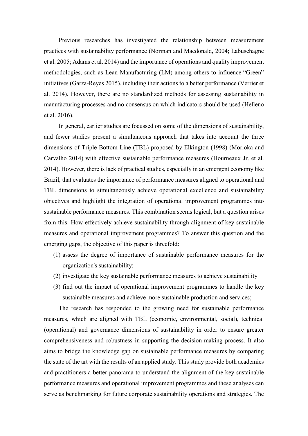Previous researches has investigated the relationship between measurement practices with sustainability performance (Norman and Macdonald, 2004; Labuschagne et al. 2005; Adams et al. 2014) and the importance of operations and quality improvement methodologies, such as Lean Manufacturing (LM) among others to influence "Green" initiatives (Garza-Reyes 2015), including their actions to a better performance (Verrier et al. 2014). However, there are no standardized methods for assessing sustainability in manufacturing processes and no consensus on which indicators should be used (Helleno et al. 2016).

In general, earlier studies are focussed on some of the dimensions of sustainability, and fewer studies present a simultaneous approach that takes into account the three dimensions of Triple Bottom Line (TBL) proposed by Elkington (1998) (Morioka and Carvalho 2014) with effective sustainable performance measures (Hourneaux Jr. et al. 2014). However, there is lack of practical studies, especially in an emergent economy like Brazil, that evaluates the importance of performance measures aligned to operational and TBL dimensions to simultaneously achieve operational excellence and sustainability objectives and highlight the integration of operational improvement programmes into sustainable performance measures. This combination seems logical, but a question arises from this: How effectively achieve sustainability through alignment of key sustainable measures and operational improvement programmes? To answer this question and the emerging gaps, the objective of this paper is threefold:

- (1) assess the degree of importance of sustainable performance measures for the organization's sustainability;
- (2) investigate the key sustainable performance measures to achieve sustainability
- (3) find out the impact of operational improvement programmes to handle the key sustainable measures and achieve more sustainable production and services;

The research has responded to the growing need for sustainable performance measures, which are aligned with TBL (economic, environmental, social), technical (operational) and governance dimensions of sustainability in order to ensure greater comprehensiveness and robustness in supporting the decision-making process. It also aims to bridge the knowledge gap on sustainable performance measures by comparing the state of the art with the results of an applied study. This study provide both academics and practitioners a better panorama to understand the alignment of the key sustainable performance measures and operational improvement programmes and these analyses can serve as benchmarking for future corporate sustainability operations and strategies. The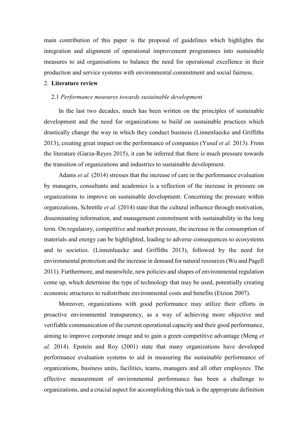main contribution of this paper is the proposal of guidelines which highlights the integration and alignment of operational improvement programmes into sustainable measures to aid organisations to balance the need for operational excellence in their production and service systems with environmental commitment and social fairness.

## 2. **Literature review**

### 2.1 *Performance measures towards sustainable development*

In the last two decades, much has been written on the principles of sustainable development and the need for organizations to build on sustainable practices which drastically change the way in which they conduct business (Linnenluecke and Griffiths 2013), creating great impact on the performance of companies (Yusuf *et al.* 2013). From the literature (Garza-Reyes 2015), it can be inferred that there is much pressure towards the transition of organizations and industries to sustainable development.

Adams *et al.* (2014) stresses that the increase of care in the performance evaluation by managers, consultants and academics is a reflection of the increase in pressure on organizations to improve on sustainable development. Concerning the pressure within organizations, Schrettle *et al.* (2014) state that the cultural influence through motivation, disseminating information, and management commitment with sustainability in the long term. On regulatory, competitive and market pressure, the increase in the consumption of materials and energy can be highlighted, leading to adverse consequences to ecosystems and to societies. (Linnenluecke and Griffiths 2013), followed by the need for environmental protection and the increase in demand for natural resources (Wu and Pagell 2011). Furthermore, and meanwhile, new policies and shapes of environmental regulation come up, which determine the type of technology that may be used, potentially creating economic structures to redistribute environmental costs and benefits (Etzion 2007).

Moreover, organizations with good performance may utilize their efforts in proactive environmental transparency, as a way of achieving more objective and verifiable communication of the current operational capacity and their good performance, aiming to improve corporate image and to gain a green competitive advantage (Meng *et al.* 2014). Epstein and Roy (2001) state that many organizations have developed performance evaluation systems to aid in measuring the sustainable performance of organizations, business units, facilities, teams, managers and all other employees. The effective measurement of environmental performance has been a challenge to organizations, and a crucial aspect for accomplishing this task is the appropriate definition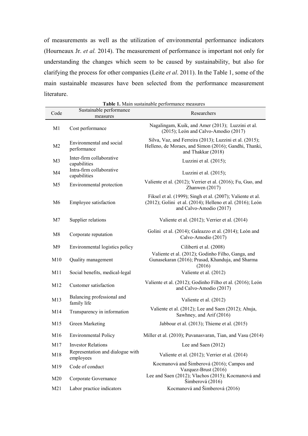of measurements as well as the utilization of environmental performance indicators (Hourneaux Jr. *et al.* 2014). The measurement of performance is important not only for understanding the changes which seem to be caused by sustainability, but also for clarifying the process for other companies (Leite *et al*. 2011). In the Table 1, some of the main sustainable measures have been selected from the performance measurement literature.

| Code            | Sustainable performance                       | <b>Table 1.</b> Maill sustainable performance measures<br>Researchers                                                                              |
|-----------------|-----------------------------------------------|----------------------------------------------------------------------------------------------------------------------------------------------------|
|                 | measures                                      |                                                                                                                                                    |
| M1              | Cost performance                              | Nagalingam, Kuik, and Amer (2013); Luzzini et al.<br>$(2015)$ ; León and Calvo-Amodio $(2017)$                                                     |
| M <sub>2</sub>  | Environmental and social<br>performance       | Silva, Vaz, and Ferreira (2013); Luzzini et al. (2015);<br>Helleno, de Moraes, and Simon (2016); Gandhi, Thanki,<br>and Thakkar (2018)             |
| M <sub>3</sub>  | Inter-firm collaborative<br>capabilities      | Luzzini et al. $(2015)$ ;                                                                                                                          |
| M4              | Intra-firm collaborative<br>capabilities      | Luzzini et al. $(2015)$ ;                                                                                                                          |
| M5              | Environmental protection                      | Valiente et al. (2012); Verrier et al. (2016); Fu, Guo, and<br>Zhanwen $(2017)$                                                                    |
| M <sub>6</sub>  | Employee satisfaction                         | Fiksel et al. (1999); Singh et al. (2007); Valiente et al.<br>(2012); Golini et al. (2014); Helleno et al. (2016); León<br>and Calvo-Amodio (2017) |
| M7              | Supplier relations                            | Valiente et al. (2012); Verrier et al. (2014)                                                                                                      |
| M8              | Corporate reputation                          | Golini et al. (2014); Galeazzo et al. (2014); León and<br>Calvo-Amodio (2017)                                                                      |
| M9              | Environmental logistics policy                | Ciliberti et al. (2008)                                                                                                                            |
| M10             | Quality management                            | Valiente et al. (2012); Godinho Filho, Ganga, and<br>Gunasekaran (2016); Prasad, Khanduja, and Sharma<br>(2016)                                    |
| M11             | Social benefits, medical-legal                | Valiente et al. (2012)                                                                                                                             |
| M12             | Customer satisfaction                         | Valiente et al. (2012); Godinho Filho et al. (2016); León<br>and Calvo-Amodio (2017)                                                               |
| M13             | Balancing professional and<br>family life     | Valiente et al. (2012)                                                                                                                             |
| M14             | Transparency in information                   | Valiente et al. (2012); Lee and Saen (2012); Ahuja,<br>Sawhney, and Arif (2016)                                                                    |
| M15             | Green Marketing                               | Jabbour et al. (2013); Thieme et al. (2015)                                                                                                        |
| M16             | <b>Environmental Policy</b>                   | Miller et al. (2010); Puvanasvaran, Tian, and Vasu (2014)                                                                                          |
| M17             | <b>Investor Relations</b>                     | Lee and Saen $(2012)$                                                                                                                              |
| M18             | Representation and dialogue with<br>employees | Valiente et al. (2012); Verrier et al. (2014)                                                                                                      |
| M19             | Code of conduct                               | Kocmanová and Šimberová (2016); Campos and<br>Vazquez-Brust (2016)                                                                                 |
| M <sub>20</sub> | Corporate Governance                          | Lee and Saen (2012); Vlachos (2015); Kocmanová and<br>Šimberová (2016)                                                                             |
| M21             | Labor practice indicators                     | Kocmanová and Šimberová (2016)                                                                                                                     |

**Table 1.** Main sustainable performance measures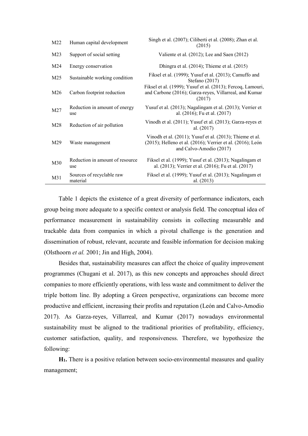| M22             | Human capital development              | Singh et al. (2007); Ciliberti et al. (2008); Zhan et al.<br>(2015)                                                                               |
|-----------------|----------------------------------------|---------------------------------------------------------------------------------------------------------------------------------------------------|
| M <sub>23</sub> | Support of social setting              | Valiente et al. (2012); Lee and Saen (2012)                                                                                                       |
| M24             | Energy conservation                    | Dhingra et al. (2014); Thieme et al. (2015)                                                                                                       |
| M <sub>25</sub> | Sustainable working condition          | Fiksel et al. (1999); Yusuf et al. (2013); Camuffo and<br>Stefano (2017)                                                                          |
| M26             | Carbon footprint reduction             | Fiksel et al. (1999); Yusuf et al. (2013); Fercoq, Lamouri,<br>and Carbone (2016); Garza-reyes, Villarreal, and Kumar<br>(2017)                   |
| M27             | Reduction in amount of energy<br>use   | Yusuf et al. (2013); Nagalingam et al. (2013); Verrier et<br>al. (2016); Fu et al. (2017)                                                         |
| M28             | Reduction of air pollution             | Vinodh et al. (2011); Yusuf et al. (2013); Garza-reyes et<br>al. (2017)                                                                           |
| M29             | Waste management                       | Vinodh et al. (2011); Yusuf et al. (2013); Thieme et al.<br>(2015); Helleno et al. (2016); Verrier et al. (2016); León<br>and Calvo-Amodio (2017) |
| M30             | Reduction in amount of resource<br>use | Fiksel et al. (1999); Yusuf et al. (2013); Nagalingam et<br>al. (2013); Verrier et al. (2016); Fu et al. (2017)                                   |
| M31             | Sources of recyclable raw<br>material  | Fiksel et al. (1999); Yusuf et al. (2013); Nagalingam et<br>al. (2013)                                                                            |

Table 1 depicts the existence of a great diversity of performance indicators, each group being more adequate to a specific context or analysis field. The conceptual idea of performance measurement in sustainability consists in collecting measurable and trackable data from companies in which a pivotal challenge is the generation and dissemination of robust, relevant, accurate and feasible information for decision making (Olsthoorn *et al.* 2001; Jin and High, 2004).

Besides that, sustainability measures can affect the choice of quality improvement programmes (Chugani et al. 2017), as this new concepts and approaches should direct companies to more efficiently operations, with less waste and commitment to deliver the triple bottom line. By adopting a Green perspective, organizations can become more productive and efficient, increasing their profits and reputation (León and Calvo-Amodio 2017). As Garza-reyes, Villarreal, and Kumar (2017) nowadays environmental sustainability must be aligned to the traditional priorities of profitability, efficiency, customer satisfaction, quality, and responsiveness. Therefore, we hypothesize the following:

**H1.** There is a positive relation between socio-environmental measures and quality management;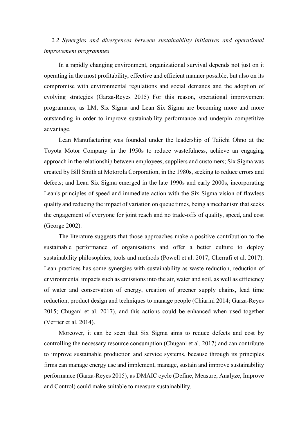# *2.2 Synergies and divergences between sustainability initiatives and operational improvement programmes*

In a rapidly changing environment, organizational survival depends not just on it operating in the most profitability, effective and efficient manner possible, but also on its compromise with environmental regulations and social demands and the adoption of evolving strategies (Garza-Reyes 2015) For this reason, operational improvement programmes, as LM, Six Sigma and Lean Six Sigma are becoming more and more outstanding in order to improve sustainability performance and underpin competitive advantage.

Lean Manufacturing was founded under the leadership of Taiichi Ohno at the Toyota Motor Company in the 1950s to reduce wastefulness, achieve an engaging approach in the relationship between employees, suppliers and customers; Six Sigma was created by Bill Smith at Motorola Corporation, in the 1980s, seeking to reduce errors and defects; and Lean Six Sigma emerged in the late 1990s and early 2000s, incorporating Lean's principles of speed and immediate action with the Six Sigma vision of flawless quality and reducing the impact of variation on queue times, being a mechanism that seeks the engagement of everyone for joint reach and no trade-offs of quality, speed, and cost (George 2002).

The literature suggests that those approaches make a positive contribution to the sustainable performance of organisations and offer a better culture to deploy sustainability philosophies, tools and methods (Powell et al. 2017; Cherrafi et al. 2017). Lean practices has some synergies with sustainability as waste reduction, reduction of environmental impacts such as emissions into the air, water and soil, as well as efficiency of water and conservation of energy, creation of greener supply chains, lead time reduction, product design and techniques to manage people (Chiarini 2014; Garza-Reyes 2015; Chugani et al. 2017), and this actions could be enhanced when used together (Verrier et al. 2014).

Moreover, it can be seen that Six Sigma aims to reduce defects and cost by controlling the necessary resource consumption (Chugani et al. 2017) and can contribute to improve sustainable production and service systems, because through its principles firms can manage energy use and implement, manage, sustain and improve sustainability performance (Garza-Reyes 2015), as DMAIC cycle (Define, Measure, Analyze, Improve and Control) could make suitable to measure sustainability.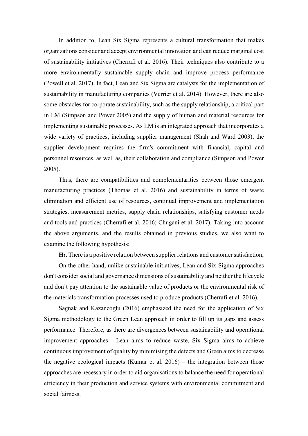In addition to, Lean Six Sigma represents a cultural transformation that makes organizations consider and accept environmental innovation and can reduce marginal cost of sustainability initiatives (Cherrafi et al. 2016). Their techniques also contribute to a more environmentally sustainable supply chain and improve process performance (Powell et al. 2017). In fact, Lean and Six Sigma are catalysts for the implementation of sustainability in manufacturing companies (Verrier et al. 2014). However, there are also some obstacles for corporate sustainability, such as the supply relationship, a critical part in LM (Simpson and Power 2005) and the supply of human and material resources for implementing sustainable processes. As LM is an integrated approach that incorporates a wide variety of practices, including supplier management (Shah and Ward 2003), the supplier development requires the firm's commitment with financial, capital and personnel resources, as well as, their collaboration and compliance (Simpson and Power 2005).

Thus, there are compatibilities and complementarities between those emergent manufacturing practices (Thomas et al. 2016) and sustainability in terms of waste elimination and efficient use of resources, continual improvement and implementation strategies, measurement metrics, supply chain relationships, satisfying customer needs and tools and practices (Cherrafi et al. 2016; Chugani et al. 2017). Taking into account the above arguments, and the results obtained in previous studies, we also want to examine the following hypothesis:

**H2.** There is a positive relation between supplier relations and customer satisfaction;

On the other hand, unlike sustainable initiatives, Lean and Six Sigma approaches don't consider social and governance dimensions of sustainability and neither the lifecycle and don't pay attention to the sustainable value of products or the environmental risk of the materials transformation processes used to produce products (Cherrafi et al. 2016).

Sagnak and Kazancoglu (2016) emphasized the need for the application of Six Sigma methodology to the Green Lean approach in order to fill up its gaps and assess performance. Therefore, as there are divergences between sustainability and operational improvement approaches - Lean aims to reduce waste, Six Sigma aims to achieve continuous improvement of quality by minimising the defects and Green aims to decrease the negative ecological impacts (Kumar et al. 2016) – the integration between those approaches are necessary in order to aid organisations to balance the need for operational efficiency in their production and service systems with environmental commitment and social fairness.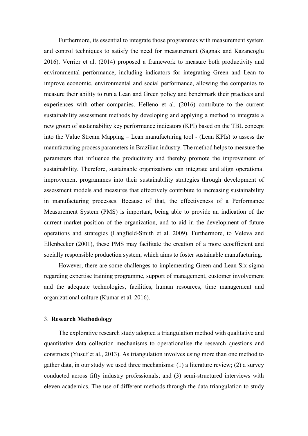Furthermore, its essential to integrate those programmes with measurement system and control techniques to satisfy the need for measurement (Sagnak and Kazancoglu 2016). Verrier et al. (2014) proposed a framework to measure both productivity and environmental performance, including indicators for integrating Green and Lean to improve economic, environmental and social performance, allowing the companies to measure their ability to run a Lean and Green policy and benchmark their practices and experiences with other companies. Helleno et al. (2016) contribute to the current sustainability assessment methods by developing and applying a method to integrate a new group of sustainability key performance indicators (KPI) based on the TBL concept into the Value Stream Mapping – Lean manufacturing tool - (Lean KPIs) to assess the manufacturing process parameters in Brazilian industry. The method helps to measure the parameters that influence the productivity and thereby promote the improvement of sustainability. Therefore, sustainable organizations can integrate and align operational improvement programmes into their sustainability strategies through development of assessment models and measures that effectively contribute to increasing sustainability in manufacturing processes. Because of that, the effectiveness of a Performance Measurement System (PMS) is important, being able to provide an indication of the current market position of the organization, and to aid in the development of future operations and strategies (Langfield-Smith et al. 2009). Furthermore, to Veleva and Ellenbecker (2001), these PMS may facilitate the creation of a more ecoefficient and socially responsible production system, which aims to foster sustainable manufacturing.

However, there are some challenges to implementing Green and Lean Six sigma regarding expertise training programme, support of management, customer involvement and the adequate technologies, facilities, human resources, time management and organizational culture (Kumar et al. 2016).

### 3. **Research Methodology**

The explorative research study adopted a triangulation method with qualitative and quantitative data collection mechanisms to operationalise the research questions and constructs (Yusuf et al., 2013). As triangulation involves using more than one method to gather data, in our study we used three mechanisms: (1) a literature review; (2) a survey conducted across fifty industry professionals; and (3) semi-structured interviews with eleven academics. The use of different methods through the data triangulation to study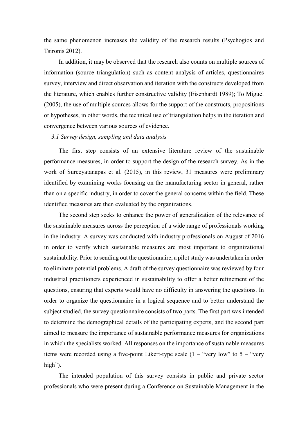the same phenomenon increases the validity of the research results (Psychogios and Tsironis 2012).

In addition, it may be observed that the research also counts on multiple sources of information (source triangulation) such as content analysis of articles, questionnaires survey, interview and direct observation and iteration with the constructs developed from the literature, which enables further constructive validity (Eisenhardt 1989); To Miguel (2005), the use of multiple sources allows for the support of the constructs, propositions or hypotheses, in other words, the technical use of triangulation helps in the iteration and convergence between various sources of evidence.

## *3.1 Survey design, sampling and data analysis*

The first step consists of an extensive literature review of the sustainable performance measures, in order to support the design of the research survey. As in the work of Sureeyatanapas et al. (2015), in this review, 31 measures were preliminary identified by examining works focusing on the manufacturing sector in general, rather than on a specific industry, in order to cover the general concerns within the field. These identified measures are then evaluated by the organizations.

The second step seeks to enhance the power of generalization of the relevance of the sustainable measures across the perception of a wide range of professionals working in the industry. A survey was conducted with industry professionals on August of 2016 in order to verify which sustainable measures are most important to organizational sustainability. Prior to sending out the questionnaire, a pilot study was undertaken in order to eliminate potential problems. A draft of the survey questionnaire was reviewed by four industrial practitioners experienced in sustainability to offer a better refinement of the questions, ensuring that experts would have no difficulty in answering the questions. In order to organize the questionnaire in a logical sequence and to better understand the subject studied, the survey questionnaire consists of two parts. The first part was intended to determine the demographical details of the participating experts, and the second part aimed to measure the importance of sustainable performance measures for organizations in which the specialists worked. All responses on the importance of sustainable measures items were recorded using a five-point Likert-type scale  $(1 -$  "very low" to  $5 -$  "very high").

The intended population of this survey consists in public and private sector professionals who were present during a Conference on Sustainable Management in the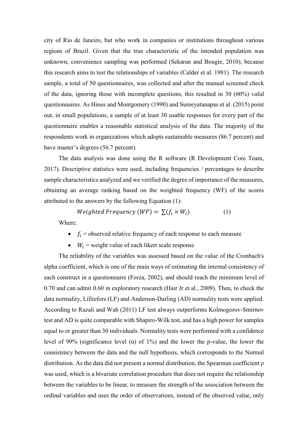city of Rio de Janeiro, but who work in companies or institutions throughout various regions of Brazil. Given that the true characteristic of the intended population was unknown; convenience sampling was performed (Sekaran and Bougie, 2010), because this research aims to test the relationships of variables (Calder et al. 1981). The research sample, a total of 50 questionnaires, was collected and after the manual screened check of the data, ignoring those with incomplete questions, this resulted in 30 (60%) valid questionnaires. As Hines and Montgomery (1990) and Sureeyatanapas et al. (2015) point out, in small populations, a sample of at least 30 usable responses for every part of the questionnaire enables a reasonable statistical analysis of the data. The majority of the respondents work in organizations which adopts sustainable measures (86.7 percent) and have master's degrees (56.7 percent).

The data analysis was done using the R software (R Development Core Team, 2017). Descriptive statistics were used, including frequencies / percentages to describe sample characteristics analyzed and we verified the degree of importance of the measures, obtaining an average ranking based on the weighted frequency (WF) of the scores attributed to the answers by the following Equation (1):

$$
Weighted Frequency (WF) = \sum (f_i \times W_i)
$$
 (1)

Where:

- $f_i$  = observed relative frequency of each response to each measure
- $W_i$  = weight value of each likert scale response

The reliability of the variables was assessed based on the value of the Cronbach's alpha coefficient, which is one of the main ways of estimating the internal consistency of each construct in a questionnaire (Forza, 2002), and should reach the minimum level of 0.70 and can admit 0.60 in exploratory research (Hair Jr et al., 2009). Then, to check the data normality, Lilliefors (LF) and Anderson-Darling (AD) normality tests were applied. According to Razali and Wah (2011) LF test always outperforms Kolmogorov-Smirnov test and AD is quite comparable with Shapiro-Wilk test, and has a high power for samples equal to or greater than 30 individuals. Normality tests were performed with a confidence level of 99% (significance level (α) of 1%) and the lower the p-value, the lower the consistency between the data and the null hypothesis, which corresponds to the Normal distribution. As the data did not present a normal distribution, the Spearman coefficient  $\rho$ was used, which is a bivariate correlation procedure that does not require the relationship between the variables to be linear, to measure the strength of the association between the ordinal variables and uses the order of observations, instead of the observed value, only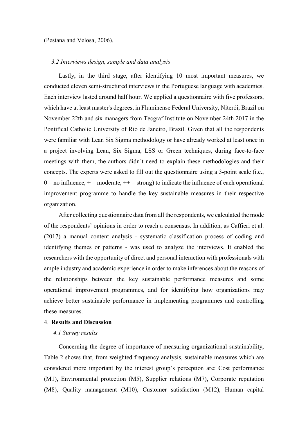### (Pestana and Velosa, 2006).

### *3.2 Interviews design, sample and data analysis*

Lastly, in the third stage, after identifying 10 most important measures, we conducted eleven semi-structured interviews in the Portuguese language with academics. Each interview lasted around half hour. We applied a questionnaire with five professors, which have at least master's degrees, in Fluminense Federal University, Niterói, Brazil on November 22th and six managers from Tecgraf Institute on November 24th 2017 in the Pontifical Catholic University of Rio de Janeiro, Brazil. Given that all the respondents were familiar with Lean Six Sigma methodology or have already worked at least once in a project involving Lean, Six Sigma, LSS or Green techniques, during face-to-face meetings with them, the authors didn´t need to explain these methodologies and their concepts. The experts were asked to fill out the questionnaire using a 3-point scale (i.e.,  $0 =$  no influence,  $+$  = moderate,  $++$  = strong) to indicate the influence of each operational improvement programme to handle the key sustainable measures in their respective organization.

After collecting questionnaire data from all the respondents, we calculated the mode of the respondents' opinions in order to reach a consensus. In addition, as Caffieri et al. (2017) a manual content analysis - systematic classification process of coding and identifying themes or patterns - was used to analyze the interviews. It enabled the researchers with the opportunity of direct and personal interaction with professionals with ample industry and academic experience in order to make inferences about the reasons of the relationships between the key sustainable performance measures and some operational improvement programmes, and for identifying how organizations may achieve better sustainable performance in implementing programmes and controlling these measures.

### 4. **Results and Discussion**

### *4.1 Survey results*

Concerning the degree of importance of measuring organizational sustainability, Table 2 shows that, from weighted frequency analysis, sustainable measures which are considered more important by the interest group's perception are: Cost performance (M1), Environmental protection (M5), Supplier relations (M7), Corporate reputation (M8), Quality management (M10), Customer satisfaction (M12), Human capital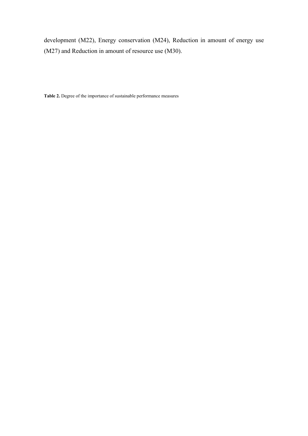development (M22), Energy conservation (M24), Reduction in amount of energy use (M27) and Reduction in amount of resource use (M30).

**Table 2.** Degree of the importance of sustainable performance measures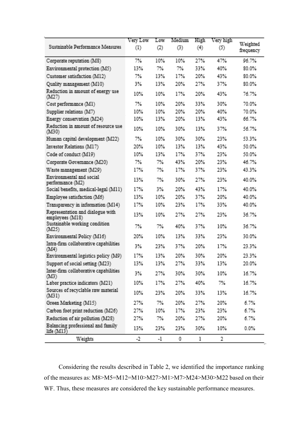|                                                     | Very Low                   | Low   | Medium.    | High         | Very high                    | Weighted  |  |
|-----------------------------------------------------|----------------------------|-------|------------|--------------|------------------------------|-----------|--|
| Sustainable Performance Measures                    | $\left( \mathbb{I}\right)$ | (2)   | (3)        | (4)          | $\left( \frac{1}{2} \right)$ | frequency |  |
| Corporate reputation (MS)                           | $T\%$                      | 10%   | 10%        | 27%          | 47%                          | 96.7%     |  |
| Environmental protection (M5)                       | 13%                        | 7%    | 7%         | 33%          | 40%                          | 80.0%     |  |
| Customer satisfaction (M12)                         | $7\%$                      | 13%   | 17%        | 20%          | 43%                          | 80.0%     |  |
| Quality management (M10)                            | 3%                         | 13%   | 20%        | 27%          | 37%                          | 80.0%     |  |
| Reduction in amount of energy use<br>(ML7)          | 10%                        | 10%   | 17%        | 20%          | 43%                          | 76.7%     |  |
| Cost performance (M1)                               | $7\%$                      | 10%   | 20%        | 33%          | 30%                          | 70.0%     |  |
| Supplier relations (M7)                             | 10%                        | 10%   | 20%        | 20%          | 40%                          | 70.0%     |  |
| Energy conservation (M24)                           | 10%                        | 13%   | 20%        | 13%          | 43%                          | 66.7%     |  |
| Reduction in amount of resource use<br>(M30)        | 10%                        | 10%   | 30%        | 13%          | 37%                          | 56.7%     |  |
| Human capital development (M22)                     | 7%                         | 10%   | 30%        | 30%          | 23%                          | 53.3%     |  |
| Investor Relations (M17)                            | 20%                        | 10%   | 13%        | 13%          | 43%                          | 50.0%     |  |
| Code of conduct (M19)                               | 10%                        | 13%   | 17%        | 37%          | 23%                          | 50.0%     |  |
| Corporate Governance (M20)                          | $7\%$                      | 7%    | 43%        | 20%          | 23%                          | 46.7%     |  |
| Waste management (M29)                              | 17%                        | $7\%$ | 17%        | 37%          | 23%                          | 43.3%     |  |
| Environmental and social<br>performance (M2)        | 13%                        | 7%    | 30%        | 27%          | 23%                          | 40.0%     |  |
| Social benefits, medical-legal (M11)                | 17%                        | 3%    | <b>20%</b> | 43%          | 17%                          | 40.0%     |  |
| Employee satisfaction (M6)                          | 13%                        | 10%   | 20%        | 37%          | 20%                          | 40.0%     |  |
| Transparency in information (M14)                   | 17%                        | 10%   | 23%        | 17%          | 33%                          | 40.0%     |  |
| Representation and dialogue with<br>employees (M18) | 13%                        | 10%   | 27%        | 27%          | 23%                          | 36.7%     |  |
| Sustainable working condition.<br>(M25)             | 7%                         | 7%    | 40%        | 37%          | 10%                          | 36.7%     |  |
| Environmental Policy (M16)                          | 20%                        | 10%   | 13%        | 33%          | 23%                          | 30.0%     |  |
| Intra-firm collaborative capabilities<br>(M4)       | 3%                         | 23%   | 37%        | 20%          | 17%                          | 23.3%     |  |
| Environmental logistics policy (M9)                 | 17%                        | 13%   | 20%        | 30%          | 20%                          | 23.3%     |  |
| Support of social setting (M23)                     | 13%                        | 13%   | 27%        | 33%          | 13%                          | 20.0%     |  |
| Inter-firm collaborative capabilities<br>(M3)       | 3%                         | 27%   | 30%        | 30%          | 10%                          | 16.7%     |  |
| Labor practice indicators (M21)                     | 10%                        | 17%   | 27%        | 40%          | TX                           | 16.7%     |  |
| Sources of recyclable raw material<br>(M31)         | 10%                        | 23%   | 20%        | 33%          | 13%                          | 16.7%     |  |
| Green Marketing (M15)                               | 27%                        | 7%    | 20%        | 27%          | 20%                          | 6.7%      |  |
| Carbon foot print reduction (M26)                   | 27%                        | 10%   | 17%        | 23%          | 23%                          | 6.7%      |  |
| Reduction of air pollution (M28).                   | 27%                        | $7\%$ | 20%        | 27%          | 20%                          | 6.7%      |  |
| Balancing professional and family<br>life $(M13)$   | 13%                        | 23%   | 23%        | 30%          | 10%                          | $0.0\%$   |  |
| <b>Weights</b>                                      | $-2$                       | $-1$  | Ω.         | $\mathbf{1}$ | $\overline{2}$               |           |  |

Considering the results described in Table 2, we identified the importance ranking of the measures as: M8>M5=M12=M10>M27>M1>M7>M24>M30>M22 based on their WF. Thus, these measures are considered the key sustainable performance measures.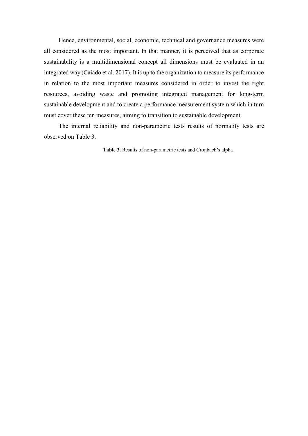Hence, environmental, social, economic, technical and governance measures were all considered as the most important. In that manner, it is perceived that as corporate sustainability is a multidimensional concept all dimensions must be evaluated in an integrated way (Caiado et al. 2017). It is up to the organization to measure its performance in relation to the most important measures considered in order to invest the right resources, avoiding waste and promoting integrated management for long-term sustainable development and to create a performance measurement system which in turn must cover these ten measures, aiming to transition to sustainable development.

The internal reliability and non-parametric tests results of normality tests are observed on Table 3.

**Table 3.** Results of non-parametric tests and Cronbach's alpha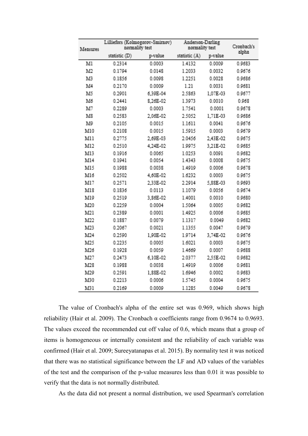| Measures | Lilliefors (Kolmogorov-Smirnov)<br>normality test |          | Anderson-Darling<br>normality test | Cronbach's<br>alpha |        |
|----------|---------------------------------------------------|----------|------------------------------------|---------------------|--------|
|          | statistic (D)                                     | p-value  | statistic (A)                      | p-value             |        |
| Мl       | 0.2314                                            | 0.0003   | 1.4132                             | 0.0009              | 0.9683 |
| M2       | 0.1794                                            | 0.0148   | 1.2033                             | 0.0032              | 0.9676 |
| M3       | 0.1856                                            | 0.0098   | 1.2251                             | 0.0028              | 0.9686 |
| M4       | 0.2170                                            | 0.0009   | 1.21                               | 0.0031              | 0.9681 |
| M5       | 0.2901                                            | 6,39E-04 | 2.5863                             | 1,07E-03            | 0.9677 |
| M6       | 0.2441                                            | 8,26E-02 | 1.3973                             | 0.0010              | 0.968  |
| M7       | 0.2289                                            | 0.0003   | 1.7541                             | 0.0001              | 0.9678 |
| M8       | 0.2583                                            | 2,06E-02 | 2.5052                             | 1,71E-03            | 0.9686 |
| M9       | 0.2105                                            | 0.0015   | 1.1611                             | 0.0041              | 0.9676 |
| M10      | 0.2108                                            | 0.0015   | 1.5915                             | 0.0003              | 0.9679 |
| M11      | 0.2775                                            | 2,69E-03 | 2.0456                             | 2,43E-02            | 0.9675 |
| M12      | 0.2510                                            | 4,24E-02 | 1.9975                             | 3.21E-02            | 0.9685 |
| M13      | 0.1916                                            | 0.0065   | 1.0253                             | 0.0091              | 0.9682 |
| M14      | 0.1941                                            | 0.0054   | 1.4343                             | 0.0008              | 0.9675 |
| M15      | 0.1988                                            | 0.0038   | 1.4919                             | 0.0006              | 0.9678 |
| M16      | 0.2502                                            | 4,60E-02 | 1.6232                             | 0.0003              | 0.9675 |
| M17      | 0.2571                                            | 2,33E-02 | 2.2914                             | 5,88E-03            | 0.9693 |
| M18      | 0.1836                                            | 0.0113   | 1.1079                             | 0.0056              | 0.9674 |
| M19      | 0.2519                                            | 3,86E-02 | 1.4001                             | 0.0010              | 0.9680 |
| M20      | 0.2259                                            | 0.0004   | 1.5064                             | 0.0005              | 0.9682 |
| M21      | 0.2389                                            | 0.0001   | 1.4925                             | 0.0006              | 0.9685 |
| M22      | 0.1887                                            | 0.0079   | 1.1317                             | 0.0049              | 0.9682 |
| M23      | 0.2067                                            | 0.0021   | 1.1355                             | 0.0047              | 0.9679 |
| M24      | 0.2590                                            | 1,90E-02 | 1.9714                             | 3.74E-02            | 0.9676 |
| M25      | 0.2235                                            | 0.0005   | 1.6021                             | 0.0003              | 0.9675 |
| M26      | 0.1928                                            | 0.0059   | 1.4669                             | 0.0007              | 0.9688 |
| M27      | 0.2473                                            | 6.10E-02 | 2.0377                             | 2,55E-02            | 0.9682 |
| M28      | 0.1988                                            | 0.0038   | 1.4919                             | 0.0006              | 0.9681 |
| M29      | 0.2591                                            | 1,88E-02 | 1.6946                             | 0.0002              | 0.9683 |
| M30      | 0.2213                                            | 0.0006   | 1.5745                             | 0.0004              | 0.9675 |
| M31      | 0.2169                                            | 0.0009   | 1.1285                             | 0.0049              | 0.9678 |

The value of Cronbach's alpha of the entire set was 0.969, which shows high reliability (Hair et al. 2009). The Cronbach α coefficients range from 0.9674 to 0.9693. The values exceed the recommended cut off value of 0.6, which means that a group of items is homogeneous or internally consistent and the reliability of each variable was confirmed (Hair et al. 2009; Sureeyatanapas et al. 2015). By normality test it was noticed that there was no statistical significance between the LF and AD values of the variables of the test and the comparison of the p-value measures less than 0.01 it was possible to verify that the data is not normally distributed.

As the data did not present a normal distribution, we used Spearman's correlation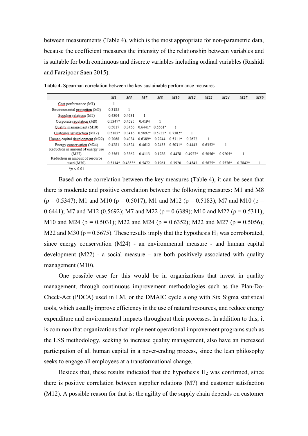between measurements (Table 4), which is the most appropriate for non-parametric data, because the coefficient measures the intensity of the relationship between variables and is suitable for both continuous and discrete variables including ordinal variables (Rashidi and Farzipoor Saen 2015).

|                                   | M1        | M5               | M7               | M8                      | M10       | M12       | M22       | M24       | M27       | M30 |
|-----------------------------------|-----------|------------------|------------------|-------------------------|-----------|-----------|-----------|-----------|-----------|-----|
| Cost performance (M1)             |           |                  |                  |                         |           |           |           |           |           |     |
| Environmental protection (M5)     | 0.3185    | 1                |                  |                         |           |           |           |           |           |     |
| Supplier relations (M7)           | 0.4304    | 0.4631           |                  |                         |           |           |           |           |           |     |
| Corporate reputation (M8)         | $0.5347*$ | 0.4585           | 0.4194           |                         |           |           |           |           |           |     |
| Quality management (M10)          | 0.5017    | 0.3456           | $0.6441*0.5561*$ |                         |           |           |           |           |           |     |
| Customer satisfaction (M12)       | $0.5183*$ | 0.3416           |                  | $0.5692*0.5733*0.7382*$ |           |           |           |           |           |     |
| Human capital development (M22)   | 0.2068    | 0.4034           | $0.6389*$        | 0.2744                  | $0.5311*$ | 0.2672    |           |           |           |     |
| Energy conservation (M24)         | 0.4281    | 0.4324           | 0.4612           | 0.2433                  | $0.5031*$ | 0.4443    | $0.6352*$ |           |           |     |
| Reduction in amount of energy use |           |                  |                  |                         |           |           |           |           |           |     |
| (M27)                             | 0.3563    | 0.3862           | 0.4113           | 0.1788                  | 0.4478    | $0.4927*$ | 0.5056*   | $0.9205*$ |           |     |
| Reduction in amount of resource   |           |                  |                  |                         |           |           |           |           |           |     |
| used (M30)                        |           | $0.5114*0.4853*$ | 0.5472           | 0.1961                  | 0.3920    | 0.4543    | $0.5675*$ | $0.7576*$ | $0.7842*$ |     |
| $*_p$ < 0.01                      |           |                  |                  |                         |           |           |           |           |           |     |

**Table 4.** Spearman correlation between the key sustainable performance measures

Based on the correlation between the key measures (Table 4), it can be seen that there is moderate and positive correlation between the following measures: M1 and M8 ( $\rho = 0.5347$ ); M1 and M10 ( $\rho = 0.5017$ ); M1 and M12 ( $\rho = 0.5183$ ); M7 and M10 ( $\rho =$ 0.6441); M7 and M12 (0.5692); M7 and M22 ( $\rho$  = 0.6389); M10 and M22 ( $\rho$  = 0.5311); M10 and M24 ( $\rho = 0.5031$ ); M22 and M24 ( $\rho = 0.6352$ ); M22 and M27 ( $\rho = 0.5056$ ); M22 and M30 ( $\rho$  = 0.5675). These results imply that the hypothesis H<sub>1</sub> was corroborated, since energy conservation (M24) - an environmental measure - and human capital development  $(M22)$  - a social measure – are both positively associated with quality management (M10).

One possible case for this would be in organizations that invest in quality management, through continuous improvement methodologies such as the Plan-Do-Check-Act (PDCA) used in LM, or the DMAIC cycle along with Six Sigma statistical tools, which usually improve efficiency in the use of natural resources, and reduce energy expenditure and environmental impacts throughout their processes. In addition to this, it is common that organizations that implement operational improvement programs such as the LSS methodology, seeking to increase quality management, also have an increased participation of all human capital in a never-ending process, since the lean philosophy seeks to engage all employees at a transformational change.

Besides that, these results indicated that the hypothesis  $H_2$  was confirmed, since there is positive correlation between supplier relations (M7) and customer satisfaction (M12). A possible reason for that is: the agility of the supply chain depends on customer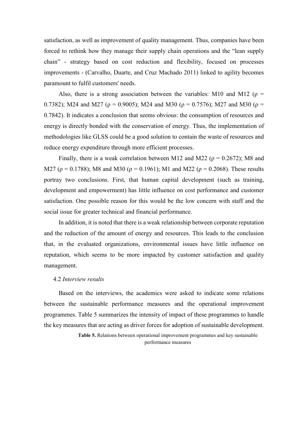satisfaction, as well as improvement of quality management. Thus, companies have been forced to rethink how they manage their supply chain operations and the "lean supply chain" - strategy based on cost reduction and flexibility, focused on processes improvements - (Carvalho, Duarte, and Cruz Machado 2011) linked to agility becomes paramount to fulfil customers' needs.

Also, there is a strong association between the variables: M10 and M12 ( $\rho$  = 0.7382); M24 and M27 ( $\rho = 0.9005$ ); M24 and M30 ( $\rho = 0.7576$ ); M27 and M30 ( $\rho =$ 0.7842). It indicates a conclusion that seems obvious: the consumption of resources and energy is directly bonded with the conservation of energy. Thus, the implementation of methodologies like GLSS could be a good solution to contain the waste of resources and reduce energy expenditure through more efficient processes.

Finally, there is a weak correlation between M12 and M22 ( $\rho = 0.2672$ ); M8 and M27 ( $\rho = 0.1788$ ); M8 and M30 ( $\rho = 0.1961$ ); M1 and M22 ( $\rho = 0.2068$ ). These results portray two conclusions. First, that human capital development (such as training, development and empowerment) has little influence on cost performance and customer satisfaction. One possible reason for this would be the low concern with staff and the social issue for greater technical and financial performance.

In addition, it is noted that there is a weak relationship between corporate reputation and the reduction of the amount of energy and resources. This leads to the conclusion that, in the evaluated organizations, environmental issues have little influence on reputation, which seems to be more impacted by customer satisfaction and quality management.

#### 4.2 *Interview results*

Based on the interviews, the academics were asked to indicate some relations between the sustainable performance measures and the operational improvement programmes. Table 5 summarizes the intensity of impact of these programmes to handle the key measures that are acting as driver forces for adoption of sustainable development.

> **Table 5.** Relations between operational improvement programmes and key sustainable performance measures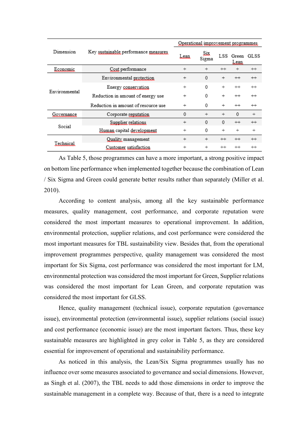|               |                                      | Operational improvement programmes |              |          |                |         |  |
|---------------|--------------------------------------|------------------------------------|--------------|----------|----------------|---------|--|
| Dimension     | Key sustainable performance measures | Lear                               | Six<br>Sigma | LSS      | Green<br>Lean. | GLSS    |  |
| Economic      | Cost performance                     | $^{+}$                             | $^{+}$       | $^{++}$  | $^{+}$         | $^{++}$ |  |
|               | Environmental protection             | $^{+}$                             | 0            | $^{+}$   | $^{++}$        | $^{++}$ |  |
| Environmental | Energy conservation                  | $^{+}$                             | 0            | $^{+}$   | $^{++}$        | $^{++}$ |  |
|               | Reduction in amount of energy use    | $^{+}$                             | 0            | $^{+}$   | $^{++}$        | $^{++}$ |  |
|               | Reduction in amount of resource use  | $^{+}$                             | 0            | $^{+}$   | $^{++}$        | $^{++}$ |  |
| Governance    | Corporate reputation                 | 0                                  | $^{+}$       | $^{+}$   | 0              | $^{+}$  |  |
| Social        | Supplier relations                   | $^{+}$                             | $\mathbf{0}$ | $\Omega$ | $^{++}$        | $^{++}$ |  |
|               | Human capital development            | $^{+}$                             | 0            | $^{+}$   | $^{+}$         | $^{+}$  |  |
|               | Quality management                   | $^{+}$                             | $^{+}$       | $^{++}$  | $^{++}$        | $^{++}$ |  |
| Technical     | Customer satisfaction                | $^{+}$                             | $^{+}$       | $^{++}$  | $^{++}$        | $^{++}$ |  |

As Table 5, those programmes can have a more important, a strong positive impact on bottom line performance when implemented together because the combination of Lean / Six Sigma and Green could generate better results rather than separately (Miller et al. 2010).

According to content analysis, among all the key sustainable performance measures, quality management, cost performance, and corporate reputation were considered the most important measures to operational improvement. In addition, environmental protection, supplier relations, and cost performance were considered the most important measures for TBL sustainability view. Besides that, from the operational improvement programmes perspective, quality management was considered the most important for Six Sigma, cost performance was considered the most important for LM, environmental protection was considered the most important for Green, Supplier relations was considered the most important for Lean Green, and corporate reputation was considered the most important for GLSS.

Hence, quality management (technical issue), corporate reputation (governance issue), environmental protection (environmental issue), supplier relations (social issue) and cost performance (economic issue) are the most important factors. Thus, these key sustainable measures are highlighted in grey color in Table 5, as they are considered essential for improvement of operational and sustainability performance.

As noticed in this analysis, the Lean/Six Sigma programmes usually has no influence over some measures associated to governance and social dimensions. However, as Singh et al. (2007), the TBL needs to add those dimensions in order to improve the sustainable management in a complete way. Because of that, there is a need to integrate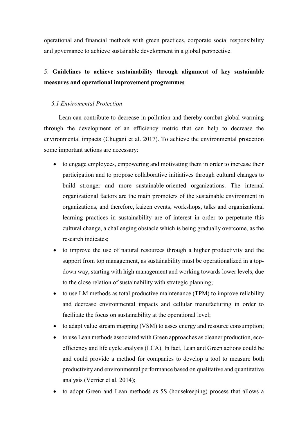operational and financial methods with green practices, corporate social responsibility and governance to achieve sustainable development in a global perspective.

# 5. **Guidelines to achieve sustainability through alignment of key sustainable measures and operational improvement programmes**

## *5.1 Enviromental Protection*

Lean can contribute to decrease in pollution and thereby combat global warming through the development of an efficiency metric that can help to decrease the environmental impacts (Chugani et al. 2017). To achieve the environmental protection some important actions are necessary:

- to engage employees, empowering and motivating them in order to increase their participation and to propose collaborative initiatives through cultural changes to build stronger and more sustainable-oriented organizations. The internal organizational factors are the main promoters of the sustainable environment in organizations, and therefore, kaizen events, workshops, talks and organizational learning practices in sustainability are of interest in order to perpetuate this cultural change, a challenging obstacle which is being gradually overcome, as the research indicates;
- to improve the use of natural resources through a higher productivity and the support from top management, as sustainability must be operationalized in a topdown way, starting with high management and working towards lower levels, due to the close relation of sustainability with strategic planning;
- to use LM methods as total productive maintenance (TPM) to improve reliability and decrease environmental impacts and cellular manufacturing in order to facilitate the focus on sustainability at the operational level;
- to adapt value stream mapping (VSM) to asses energy and resource consumption;
- to use Lean methods associated with Green approaches as cleaner production, ecoefficiency and life cycle analysis (LCA). In fact, Lean and Green actions could be and could provide a method for companies to develop a tool to measure both productivity and environmental performance based on qualitative and quantitative analysis (Verrier et al. 2014);
- to adopt Green and Lean methods as 5S (housekeeping) process that allows a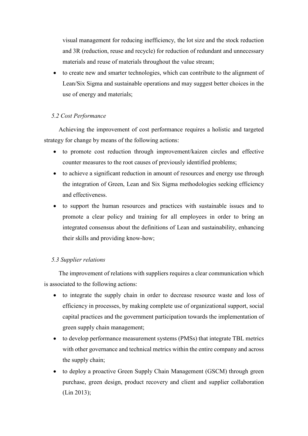visual management for reducing inefficiency, the lot size and the stock reduction and 3R (reduction, reuse and recycle) for reduction of redundant and unnecessary materials and reuse of materials throughout the value stream;

• to create new and smarter technologies, which can contribute to the alignment of Lean/Six Sigma and sustainable operations and may suggest better choices in the use of energy and materials;

## *5.2 Cost Performance*

Achieving the improvement of cost performance requires a holistic and targeted strategy for change by means of the following actions:

- to promote cost reduction through improvement/kaizen circles and effective counter measures to the root causes of previously identified problems;
- to achieve a significant reduction in amount of resources and energy use through the integration of Green, Lean and Six Sigma methodologies seeking efficiency and effectiveness.
- to support the human resources and practices with sustainable issues and to promote a clear policy and training for all employees in order to bring an integrated consensus about the definitions of Lean and sustainability, enhancing their skills and providing know-how;

## *5.3 Supplier relations*

The improvement of relations with suppliers requires a clear communication which is associated to the following actions:

- to integrate the supply chain in order to decrease resource waste and loss of efficiency in processes, by making complete use of organizational support, social capital practices and the government participation towards the implementation of green supply chain management;
- to develop performance measurement systems (PMSs) that integrate TBL metrics with other governance and technical metrics within the entire company and across the supply chain;
- to deploy a proactive Green Supply Chain Management (GSCM) through green purchase, green design, product recovery and client and supplier collaboration (Lin 2013);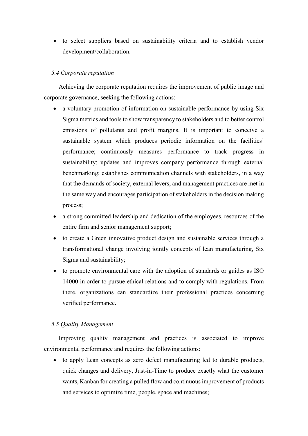• to select suppliers based on sustainability criteria and to establish vendor development/collaboration.

## *5.4 Corporate reputation*

Achieving the corporate reputation requires the improvement of public image and corporate governance, seeking the following actions:

- a voluntary promotion of information on sustainable performance by using Six Sigma metrics and tools to show transparency to stakeholders and to better control emissions of pollutants and profit margins. It is important to conceive a sustainable system which produces periodic information on the facilities' performance; continuously measures performance to track progress in sustainability; updates and improves company performance through external benchmarking; establishes communication channels with stakeholders, in a way that the demands of society, external levers, and management practices are met in the same way and encourages participation of stakeholders in the decision making process;
- a strong committed leadership and dedication of the employees, resources of the entire firm and senior management support;
- to create a Green innovative product design and sustainable services through a transformational change involving jointly concepts of lean manufacturing, Six Sigma and sustainability;
- to promote environmental care with the adoption of standards or guides as ISO 14000 in order to pursue ethical relations and to comply with regulations. From there, organizations can standardize their professional practices concerning verified performance.

## *5.5 Quality Management*

Improving quality management and practices is associated to improve environmental performance and requires the following actions:

• to apply Lean concepts as zero defect manufacturing led to durable products, quick changes and delivery, Just-in-Time to produce exactly what the customer wants, Kanban for creating a pulled flow and continuous improvement of products and services to optimize time, people, space and machines;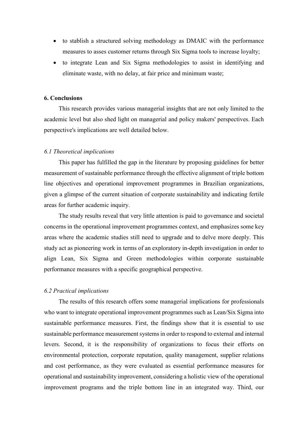- to stablish a structured solving methodology as DMAIC with the performance measures to asses customer returns through Six Sigma tools to increase loyalty;
- to integrate Lean and Six Sigma methodologies to assist in identifying and eliminate waste, with no delay, at fair price and minimum waste;

### **6. Conclusions**

This research provides various managerial insights that are not only limited to the academic level but also shed light on managerial and policy makers' perspectives. Each perspective's implications are well detailed below.

## *6.1 Theoretical implications*

This paper has fulfilled the gap in the literature by proposing guidelines for better measurement of sustainable performance through the effective alignment of triple bottom line objectives and operational improvement programmes in Brazilian organizations, given a glimpse of the current situation of corporate sustainability and indicating fertile areas for further academic inquiry.

The study results reveal that very little attention is paid to governance and societal concerns in the operational improvement programmes context, and emphasizes some key areas where the academic studies still need to upgrade and to delve more deeply. This study act as pioneering work in terms of an exploratory in-depth investigation in order to align Lean, Six Sigma and Green methodologies within corporate sustainable performance measures with a specific geographical perspective.

#### *6.2 Practical implications*

The results of this research offers some managerial implications for professionals who want to integrate operational improvement programmes such as Lean/Six Sigma into sustainable performance measures. First, the findings show that it is essential to use sustainable performance measurement systems in order to respond to external and internal levers. Second, it is the responsibility of organizations to focus their efforts on environmental protection, corporate reputation, quality management, supplier relations and cost performance, as they were evaluated as essential performance measures for operational and sustainability improvement, considering a holistic view of the operational improvement programs and the triple bottom line in an integrated way. Third, our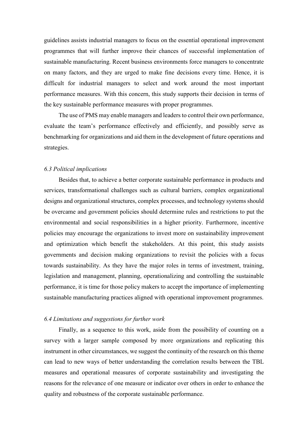guidelines assists industrial managers to focus on the essential operational improvement programmes that will further improve their chances of successful implementation of sustainable manufacturing. Recent business environments force managers to concentrate on many factors, and they are urged to make fine decisions every time. Hence, it is difficult for industrial managers to select and work around the most important performance measures. With this concern, this study supports their decision in terms of the key sustainable performance measures with proper programmes.

The use of PMS may enable managers and leaders to control their own performance, evaluate the team's performance effectively and efficiently, and possibly serve as benchmarking for organizations and aid them in the development of future operations and strategies.

## *6.3 Political implications*

Besides that, to achieve a better corporate sustainable performance in products and services, transformational challenges such as cultural barriers, complex organizational designs and organizational structures, complex processes, and technology systems should be overcame and government policies should determine rules and restrictions to put the environmental and social responsibilities in a higher priority. Furthermore, incentive policies may encourage the organizations to invest more on sustainability improvement and optimization which benefit the stakeholders. At this point, this study assists governments and decision making organizations to revisit the policies with a focus towards sustainability. As they have the major roles in terms of investment, training, legislation and management, planning, operationalizing and controlling the sustainable performance, it is time for those policy makers to accept the importance of implementing sustainable manufacturing practices aligned with operational improvement programmes.

## *6.4 Limitations and suggestions for further work*

Finally, as a sequence to this work, aside from the possibility of counting on a survey with a larger sample composed by more organizations and replicating this instrument in other circumstances, we suggest the continuity of the research on this theme can lead to new ways of better understanding the correlation results between the TBL measures and operational measures of corporate sustainability and investigating the reasons for the relevance of one measure or indicator over others in order to enhance the quality and robustness of the corporate sustainable performance.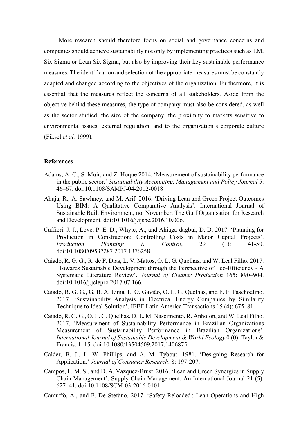More research should therefore focus on social and governance concerns and companies should achieve sustainability not only by implementing practices such as LM, Six Sigma or Lean Six Sigma, but also by improving their key sustainable performance measures. The identification and selection of the appropriate measures must be constantly adapted and changed according to the objectives of the organization. Furthermore, it is essential that the measures reflect the concerns of all stakeholders. Aside from the objective behind these measures, the type of company must also be considered, as well as the sector studied, the size of the company, the proximity to markets sensitive to environmental issues, external regulation, and to the organization's corporate culture (Fiksel *et al.* 1999).

### **References**

- Adams, A. C., S. Muir, and Z. Hoque 2014. 'Measurement of sustainability performance in the public sector.' *Sustainability Accounting, Management and Policy Journal* 5: 46–67. doi:10.1108/SAMPJ-04-2012-0018
- Ahuja, R., A. Sawhney, and M. Arif. 2016. 'Driving Lean and Green Project Outcomes Using BIM: A Qualitative Comparative Analysis'. International Journal of Sustainable Built Environment, no. November. The Gulf Organisation for Research and Development. doi:10.1016/j.ijsbe.2016.10.006.
- Caffieri, J. J., Love, P. E. D., Whyte, A., and Ahiaga-dagbui, D. D. 2017. 'Planning for Production in Construction: Controlling Costs in Major Capital Projects'. *Production Planning & Control*, 29 (1): 41-50. doi:10.1080/09537287.2017.1376258.
- Caiado, R. G. G., R. de F. Dias, L. V. Mattos, O. L. G. Quelhas, and W. Leal Filho. 2017. 'Towards Sustainable Development through the Perspective of Eco-Efficiency - A Systematic Literature Review'. *Journal of Cleaner Production* 165: 890–904. doi:10.1016/j.jclepro.2017.07.166.
- Caiado, R. G. G., G. B. A. Lima, L. O. Gavião, O. L. G. Quelhas, and F. F. Paschoalino. 2017. 'Sustainability Analysis in Electrical Energy Companies by Similarity Technique to Ideal Solution'. IEEE Latin America Transactions 15 (4): 675–81.
- Caiado, R. G. G., O. L. G. Quelhas, D. L. M. Nascimento, R. Anholon, and W. Leal Filho. 2017. 'Measurement of Sustainability Performance in Brazilian Organizations Measurement of Sustainability Performance in Brazilian Organizations'. *International Journal of Sustainable Development & World Ecology* 0 (0). Taylor & Francis: 1–15. doi:10.1080/13504509.2017.1406875.
- Calder, B. J., L. W. Phillips, and A. M. Tybout. 1981. 'Designing Research for Application.' *Journal of Consumer Research*. 8: 197-207.
- Campos, L. M. S., and D. A. Vazquez-Brust. 2016. 'Lean and Green Synergies in Supply Chain Management'. Supply Chain Management: An International Journal 21 (5): 627–41. doi:10.1108/SCM-03-2016-0101.
- Camuffo, A., and F. De Stefano. 2017. 'Safety Reloaded : Lean Operations and High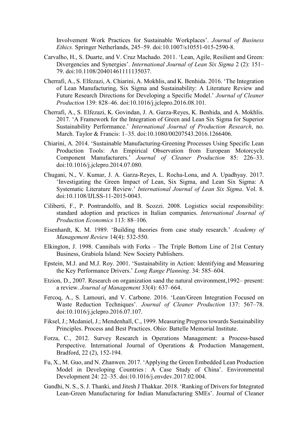Involvement Work Practices for Sustainable Workplaces'. *Journal of Business Ethics.* Springer Netherlands, 245–59. doi:10.1007/s10551-015-2590-8.

- Carvalho, H., S. Duarte, and V. Cruz Machado. 2011. 'Lean, Agile, Resilient and Green: Divergencies and Synergies'. *International Journal of Lean Six Sigma* 2 (2): 151– 79. doi:10.1108/20401461111135037.
- Cherrafi, A., S. Elfezazi, A. Chiarini, A. Mokhlis, and K. Benhida. 2016. 'The Integration of Lean Manufacturing, Six Sigma and Sustainability: A Literature Review and Future Research Directions for Developing a Specific Model.' *Journal of Cleaner Production* 139: 828–46. doi:10.1016/j.jclepro.2016.08.101.
- Cherrafi, A., S. Elfezazi, K. Govindan, J. A. Garza-Reyes, K. Benhida, and A. Mokhlis. 2017. 'A Framework for the Integration of Green and Lean Six Sigma for Superior Sustainability Performance.' *International Journal of Production Research*, no. March. Taylor & Francis: 1–35. doi:10.1080/00207543.2016.1266406.
- Chiarini, A. 2014. 'Sustainable Manufacturing-Greening Processes Using Specific Lean Production Tools: An Empirical Observation from European Motorcycle Component Manufacturers.' *Journal of Cleaner Production* 85: 226–33. doi:10.1016/j.jclepro.2014.07.080.
- Chugani, N., V. Kumar, J. A. Garza-Reyes, L. Rocha-Lona, and A. Upadhyay. 2017. 'Investigating the Green Impact of Lean, Six Sigma, and Lean Six Sigma: A Systematic Literature Review.' *International Journal of Lean Six Sigma*. Vol. 8. doi:10.1108/IJLSS-11-2015-0043.
- Ciliberti, F., P. Pontrandolfo, and B. Scozzi. 2008. Logistics social responsibility: standard adoption and practices in Italian companies. *International Journal of Production Economics* 113: 88–106.
- Eisenhardt, K. M. 1989. 'Building theories from case study research.' *Academy of Management Review* 14(4): 532-550.
- Elkington, J. 1998. Cannibals with Forks The Triple Bottom Line of 21st Century Business, Grabiola Island: New Society Publishers.
- Epstein, M.J. and M.J. Roy. 2001. 'Sustainability in Action: Identifying and Measuring the Key Performance Drivers.' *Long Range Planning*. 34: 585–604.
- Etzion, D., 2007. Research on organization sand the natural environment,1992– present: a review. *Journal of Management* 33(4): 637–664.
- Fercoq, A., S. Lamouri, and V. Carbone. 2016. 'Lean/Green Integration Focused on Waste Reduction Techniques'. *Journal of Cleaner Production* 137: 567–78. doi:10.1016/j.jclepro.2016.07.107.
- Fiksel, J.; Mcdaniel, J.; Mendenhall, C., 1999. Measuring Progress towards Sustainability Principles. Process and Best Practices. Ohio: Battelle Memorial Institute.
- Forza, C., 2012. Survey Research in Operations Management: a Process-based Perspective. International Journal of Operations & Production Management, Bradford, 22 (2), 152-194.
- Fu, X., M. Guo, and N. Zhanwen. 2017. 'Applying the Green Embedded Lean Production Model in Developing Countries : A Case Study of China'. Environmental Development 24: 22–35. doi:10.1016/j.envdev.2017.02.004.
- Gandhi, N. S., S.J. Thanki, and Jitesh J Thakkar. 2018. 'Ranking of Drivers for Integrated Lean-Green Manufacturing for Indian Manufacturing SMEs'. Journal of Cleaner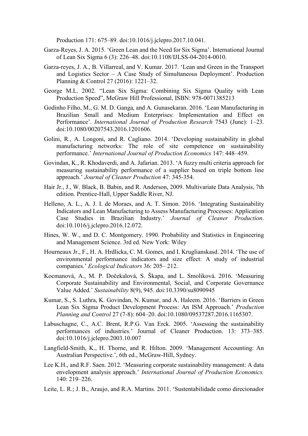Production 171: 675–89. doi:10.1016/j.jclepro.2017.10.041.

- Garza-Reyes, J. A. 2015. 'Green Lean and the Need for Six Sigma'. International Journal of Lean Six Sigma 6 (3): 226–48. doi:10.1108/IJLSS-04-2014-0010.
- Garza-reyes, J. A., B. Villarreal, and V. Kumar. 2017. 'Lean and Green in the Transport and Logistics Sector – A Case Study of Simultaneous Deployment'. Production Planning & Control 27 (2016): 1221–32.
- George M.L. 2002. "Lean Six Sigma: Combining Six Sigma Quality with Lean Production Speed", McGraw Hill Professional, ISBN: 978-0071385213
- Godinho Filho, M., G. M. D. Ganga, and A. Gunasekaran. 2016. 'Lean Manufacturing in Brazilian Small and Medium Enterprises: Implementation and Effect on Performance'. *International Journal of Production Research* 7543 (June): 1–23. doi:10.1080/00207543.2016.1201606.
- Golini, R., A. Longoni, and R. Cagliano. 2014. 'Developing sustainability in global manufacturing networks: The role of site competence on sustainability performance.' *International Journal of Production Economics* 147: 448–459.
- Govindan, K., R. Khodaverdi, and A. Jafarian. 2013. 'A fuzzy multi criteria approach for measuring sustainability performance of a supplier based on triple bottom line approach.' *Journal of Cleaner Production* 47: 345-354.
- Hair Jr., J., W. Black, B. Babin, and R. Anderson, 2009. Multivariate Data Analysis, 7th edition. Prentice-Hall, Upper Saddle River, NJ.
- Helleno, A. L., A. J. I. de Moraes, and A. T. Simon. 2016. 'Integrating Sustainability Indicators and Lean Manufacturing to Assess Manufacturing Processes: Application Case Studies in Brazilian Industry.' *Journal of Cleaner Production*. doi:10.1016/j.jclepro.2016.12.072.
- Hines, W. W., and D. C. Montgomery. 1990. Probability and Statistics in Engineering and Management Science. 3rd ed. New York: Wiley
- Hourneaux Jr., F., H. A. Hrdlicka, C. M. Gomes, and I. Kruglianskasd. 2014. 'The use of environmental performance indicators and size effect: A study of industrial companies.' *Ecological Indicators* 36: 205– 212.
- Kocmanová, A., M. P. Dočekalová, S. Škapa, and L. Smolíková. 2016. 'Measuring Corporate Sustainability and Environmental, Social, and Corporate Governance Value Added.' *Sustainability* 8(9), 945. doi:10.3390/su8090945
- Kumar, S., S. Luthra, K. Govindan, N. Kumar, and A. Haleem. 2016. 'Barriers in Green Lean Six Sigma Product Development Process: An ISM Approach.' *Production Planning and Control* 27 (7-8): 604–20. doi:10.1080/09537287.2016.1165307.
- Labuschagne, C., A.C. Brent, R.P.G. Van Erck. 2005. 'Assessing the sustainability performances of industries.' Journal of Cleaner Production. 13: 373–385. doi:10.1016/j.jclepro.2003.10.007
- Langfield-Smith, K., H. Thorne, and R. Hilton. 2009. 'Management Accounting: An Australian Perspective.', 6th ed., McGraw-Hill, Sydney.
- Lee K.H., and R.F. Saen. 2012. 'Measuring corporate sustainability management: A data envelopment analysis approach.' *International Journal of Production Economics.* 140: 219–226.
- Leite, L. R.; J. B., Araujo, and R.A. Martins. 2011. 'Sustentabilidade como direcionador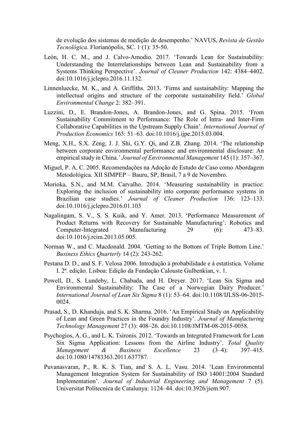de evolução dos sistemas de medição de desempenho.' NAVUS, *Revista de Gestão Tecnológica*. Florianópolis, SC. 1 (1): 35-50.

- León, H. C. M., and J. Calvo-Amodio. 2017. 'Towards Lean for Sustainability: Understanding the Interrelationships between Lean and Sustainability from a Systems Thinking Perspective'. *Journal of Cleaner Production* 142: 4384–4402. doi:10.1016/j.jclepro.2016.11.132.
- Linnenluecke, M. K., and A. Griffiths. 2013. 'Firms and sustainability: Mapping the intellectual origins and structure of the corporate sustainability field.' *Global Environmental Change* 2: 382–391.
- Luzzini, D., E. Brandon-Jones, A. Brandon-Jones, and G. Spina. 2015. 'From Sustainability Commitment to Performance: The Role of Intra- and Inter-Firm Collaborative Capabilities in the Upstream Supply Chain'*. International Journal of Production Economics* 165: 51–63. doi:10.1016/j.ijpe.2015.03.004.
- Meng, X.H., S.X. Zeng, J. J. Shi, G.Y. Qi, and Z.B. Zhang. 2014. 'The relationship between corporate environmental performance and environmental disclosure: An empirical study in China.' *Journal of Environmental Management* 145 (1): 357–367.
- Miguel, P. A. C. 2005. Recomendações na Adoção de Estudo de Caso como Abordagem Metodológica. XII SIMPEP – Bauru, SP, Brasil, 7 a 9 de Novembro.
- Morioka, S.N., and M.M. Carvalho. 2014. 'Measuring sustainability in practice: Exploring the inclusion of sustainability into corporate performance systems in Brazilian case studies.' *Journal of Cleaner Production* 136: 123–133. doi:10.1016/j.jclepro.2016.01.103
- Nagalingam, S. V., S. S. Kuik, and Y. Amer. 2013. 'Performance Measurement of Product Returns with Recovery for Sustainable Manufacturing'. Robotics and Computer-Integrated Manufacturing 29 (6): 473–83. doi:10.1016/j.rcim.2013.05.005.
- Norman W., and C. Macdonald. 2004. 'Getting to the Bottom of Triple Bottom Line.' *Business Ethics Quarterly* 14 (2): 243-262.
- Pestana D. D., and S. F. Velosa 2006. Introdução à probabilidade e à estatística. Volume I. 2ª. edição. Lisboa: Edição da Fundação Calouste Gulbenkian, v. 1.
- Powell, D., S. Lundeby, L. Chabada, and H. Dreyer. 2017. 'Lean Six Sigma and Environmental Sustainability: The Case of a Norwegian Dairy Producer.' *International Journal of Lean Six Sigma* 8 (1): 53–64. doi:10.1108/IJLSS-06-2015- 0024.
- Prasad, S., D. Khanduja, and S. K. Sharma. 2016. 'An Empirical Study on Applicability of Lean and Green Practices in the Foundry Industry'. *Journal of Manufacturing Technology Management* 27 (3): 408–26. doi:10.1108/JMTM-08-2015-0058.
- Psychogios, A. G., and L. K. Tsironis. 2012. 'Towards an Integrated Framework for Lean Six Sigma Application: Lessons from the Airline Industry'. *Total Quality Management & Business Excellence* 23 (3–4): 397–415. doi:10.1080/14783363.2011.637787.
- Puvanasvaran, P., R. K. S. Tian, and S. A. L. Vasu. 2014. 'Lean Environmental Management Integration System for Sustainability of ISO 14001:2004 Standard Implementation'. *Journal of Industrial Engineering and Management* 7 (5). Universitat Politecnica de Catalunya: 1124–44. doi:10.3926/jiem.907.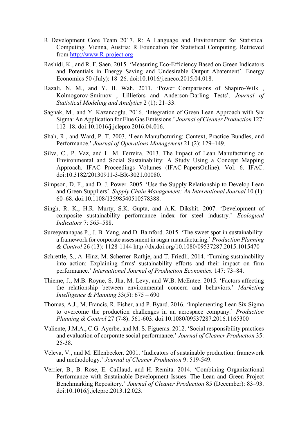- R Development Core Team 2017. R: A Language and Environment for Statistical Computing. Vienna, Austria: R Foundation for Statistical Computing. Retrieved from [http://www.R-project.org](http://www.r-project.org/)
- Rashidi, K., and R. F. Saen. 2015. 'Measuring Eco-Efficiency Based on Green Indicators and Potentials in Energy Saving and Undesirable Output Abatement'. Energy Economics 50 (July): 18–26. doi:10.1016/j.eneco.2015.04.018.
- Razali, N. M., and Y. B. Wah. 2011. 'Power Comparisons of Shapiro-Wilk , Kolmogorov-Smirnov , Lilliefors and Anderson-Darling Tests'. *Journal of Statistical Modeling and Analytics* 2 (1): 21–33.
- Sagnak, M., and Y. Kazancoglu. 2016. 'Integration of Green Lean Approach with Six Sigma: An Application for Flue Gas Emissions.' *Journal of Cleaner Production* 127: 112–18. doi:10.1016/j.jclepro.2016.04.016.
- Shah, R., and Ward, P. T. 2003. 'Lean Manufacturing: Context, Practice Bundles, and Performance.' *Journal of Operations Management* 21 (2): 129–149.
- Silva, C., P. Vaz, and L. M. Ferreira. 2013. The Impact of Lean Manufacturing on Environmental and Social Sustainability: A Study Using a Concept Mapping Approach. IFAC Proceedings Volumes (IFAC-PapersOnline). Vol. 6. IFAC. doi:10.3182/20130911-3-BR-3021.00080.
- Simpson, D. F., and D. J. Power. 2005. 'Use the Supply Relationship to Develop Lean and Green Suppliers'. *Supply Chain Management: An International Journal* 10 (1): 60–68. doi:10.1108/13598540510578388.
- Singh, R. K., H.R. Murty, S.K. Gupta, and A.K. Dikshit. 2007. 'Development of composite sustainability performance index for steel industry.' *Ecological Indicators* 7: 565–588.
- Sureeyatanapas P., J. B. Yang, and D. Bamford. 2015. 'The sweet spot in sustainability: a framework for corporate assessment in sugar manufacturing.' *Production Planning & Control* 26 (13): 1128-1144 http://dx.doi.org/10.1080/09537287.2015.1015470
- Schrettle, S., A. Hinz, M. Scherrer–Rathje, and T. Friedli. 2014. 'Turning sustainability into action: Explaining firms' sustainability efforts and their impact on firm performance.' *International Journal of Production Economics.* 147: 73–84.
- Thieme, J., M.B. Royne, S. Jha, M. Levy, and W.B. McEntee. 2015. 'Factors affecting the relationship between environmental concern and behaviors.' *Marketing Intelligence & Planning* 33(5): 675 – 690
- Thomas, A.J., M. Francis, R. Fisher, and P. Byard. 2016. 'Implementing Lean Six Sigma to overcome the production challenges in an aerospace company.' *Production Planning & Control* 27 (7-8): 561-603. doi:10.1080/09537287.2016.1165300
- Valiente, J.M.A., C.G. Ayerbe, and M. S. Figueras. 2012. 'Social responsibility practices and evaluation of corporate social performance.' *Journal of Cleaner Production* 35: 25-38.
- Veleva, V., and M. Ellenbecker. 2001. 'Indicators of sustainable production: framework and methodology.' *Journal of Cleaner Production* 9: 519-549.
- Verrier, B., B. Rose, E. Caillaud, and H. Remita. 2014. 'Combining Organizational Performance with Sustainable Development Issues: The Lean and Green Project Benchmarking Repository.' *Journal of Cleaner Production* 85 (December): 83–93. doi:10.1016/j.jclepro.2013.12.023.